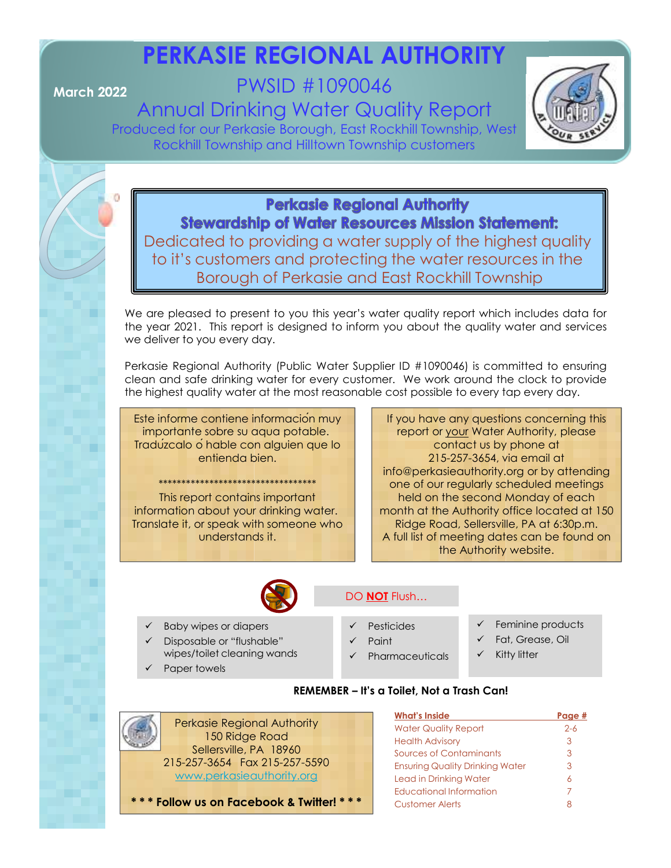# **PERKASIE REGIONAL AUTHORITY**

# **March 2022** PWSID #1090046

Annual Drinking Water Quality Report Produced for our Perkasie Borough, East Rockhill Township, West Rockhill Township and Hilltown Township customers



**Perkasie Regional Authority Stewardship of Water Resources Mission Statement:** Dedicated to providing a water supply of the highest quality to it's customers and protecting the water resources in the Borough of Perkasie and East Rockhill Township

We are pleased to present to you this year's water quality report which includes data for the year 2021. This report is designed to inform you about the quality water and services we deliver to you every day.

Perkasie Regional Authority (Public Water Supplier ID #1090046) is committed to ensuring clean and safe drinking water for every customer. We work around the clock to provide the highest quality water at the most reasonable cost possible to every tap every day.

Este informe contiene información muy importante sobre su aqua potable. Tradúzcalo óhable con alguien que lo entienda bien.

\*\*\*\*\*\*\*\*\*\*\*\*\*\*\*\*\*\*\*\*\*\*\*\*\*\*\*\*\*\*\*\*\*\* This report contains important information about your drinking water. Translate it, or speak with someone who understands it.

If you have any questions concerning this report or your Water Authority, please contact us by phone at 215-257-3654, via email at info@perkasieauthority.org or by attending one of our regularly scheduled meetings held on the second Monday of each month at the Authority office located at 150 Ridge Road, Sellersville, PA at 6:30p.m. A full list of meeting dates can be found on the Authority website.



### DO **NOT** Flush…

- Baby wipes or diapers
- Disposable or "flushable" wipes/toilet cleaning wands
- Paper towels
- 
- Pesticides Paint
- Pharmaceuticals
- Feminine products
- Fat, Grease, Oil
- Kitty litter

### **REMEMBER – It's a Toilet, Not a Trash Can!**



**\* \* \* Follow us on Facebook & Twitter! \* \* \***

| <b>What's Inside</b>                   | Paae #  |
|----------------------------------------|---------|
| <b>Water Quality Report</b>            | $2 - 6$ |
| <b>Health Advisory</b>                 | З       |
| Sources of Contaminants                | З       |
| <b>Ensuring Quality Drinking Water</b> | З       |
| Lead in Drinking Water                 | 6       |
| Educational Information                | 7       |
| <b>Customer Alerts</b>                 |         |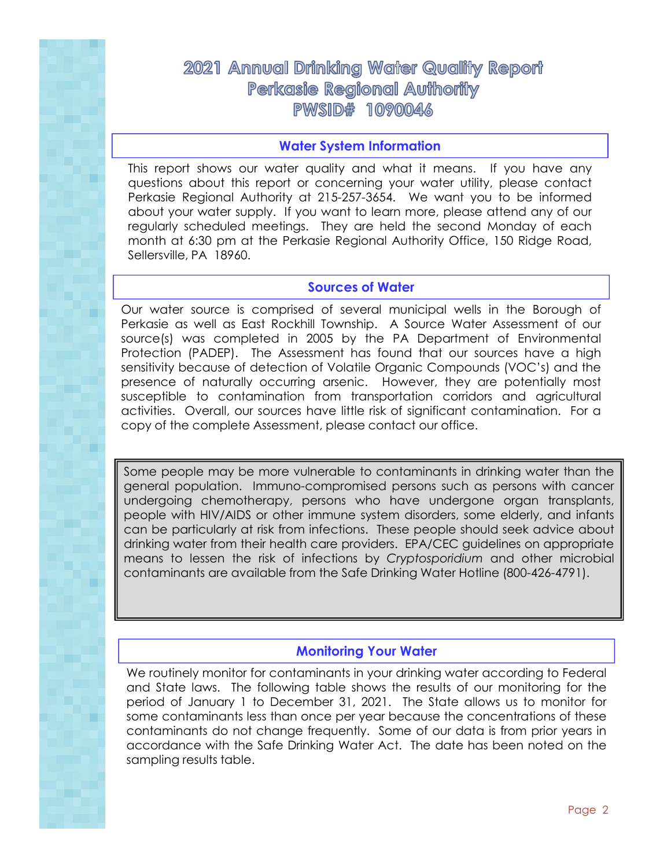### 2021 Annual Drinking Water Quality Report **Perkasie Regional Authority PWSID# 1090046**

### **Water System Information**

This report shows our water quality and what it means. If you have any questions about this report or concerning your water utility, please contact Perkasie Regional Authority at 215-257-3654. We want you to be informed about your water supply. If you want to learn more, please attend any of our regularly scheduled meetings. They are held the second Monday of each month at 6:30 pm at the Perkasie Regional Authority Office, 150 Ridge Road, Sellersville, PA 18960.

### **Sources of Water**

Our water source is comprised of several municipal wells in the Borough of Perkasie as well as East Rockhill Township. A Source Water Assessment of our source(s) was completed in 2005 by the PA Department of Environmental Protection (PADEP). The Assessment has found that our sources have a high sensitivity because of detection of Volatile Organic Compounds (VOC's) and the presence of naturally occurring arsenic. However, they are potentially most susceptible to contamination from transportation corridors and agricultural activities. Overall, our sources have little risk of significant contamination. For a copy of the complete Assessment, please contact our office.

Some people may be more vulnerable to contaminants in drinking water than the general population. Immuno-compromised persons such as persons with cancer undergoing chemotherapy, persons who have undergone organ transplants, people with HIV/AIDS or other immune system disorders, some elderly, and infants can be particularly at risk from infections. These people should seek advice about drinking water from their health care providers. EPA/CEC guidelines on appropriate means to lessen the risk of infections by *Cryptosporidium* and other microbial contaminants are available from the Safe Drinking Water Hotline (800-426-4791).

### **Monitoring Your Water**

We routinely monitor for contaminants in your drinking water according to Federal and State laws. The following table shows the results of our monitoring for the period of January 1 to December 31, 2021. The State allows us to monitor for some contaminants less than once per year because the concentrations of these contaminants do not change frequently. Some of our data is from prior years in accordance with the Safe Drinking Water Act. The date has been noted on the sampling results table.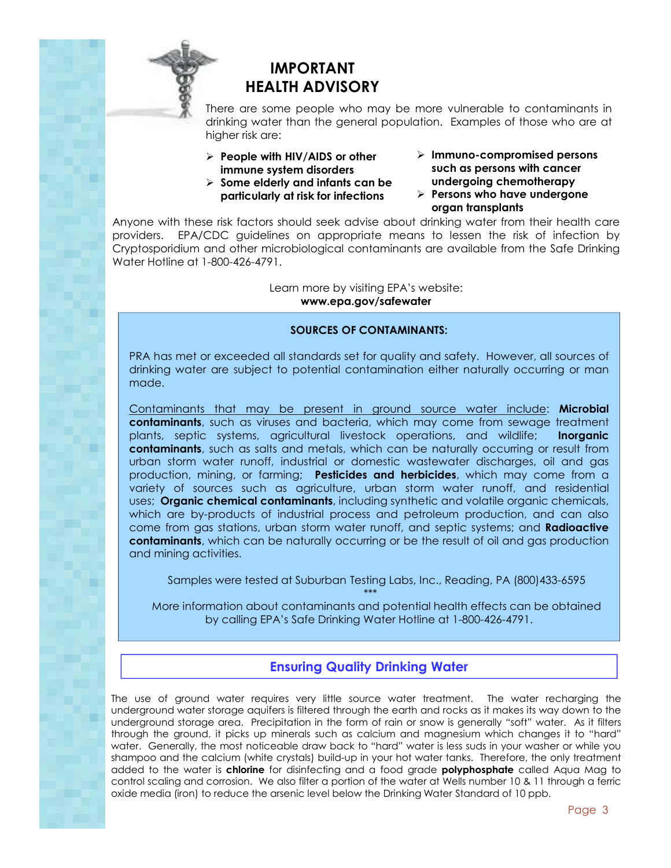

### **IMPORTANT HEALTH ADVISORY**

There are some people who may be more vulnerable to contaminants in drinking water than the general population. Examples of those who are at higher risk are:

- **People with HIV/AIDS or other immune system disorders**
- **Some elderly and infants can be particularly at risk for infections**
- **Immuno-compromised persons such as persons with cancer undergoing chemotherapy**
- **Persons who have undergone organ transplants**

Anyone with these risk factors should seek advise about drinking water from their health care providers. EPA/CDC guidelines on appropriate means to lessen the risk of infection by Cryptosporidium and other microbiological contaminants are available from the Safe Drinking Water Hotline at 1-800-426-4791.

> Learn more by visiting EPA's website: **www.epa.gov/safewater**

### **SOURCES OF CONTAMINANTS:**

PRA has met or exceeded all standards set for quality and safety. However, all sources of drinking water are subject to potential contamination either naturally occurring or man made.

Contaminants that may be present in ground source water include: **Microbial contaminants**, such as viruses and bacteria, which may come from sewage treatment plants, septic systems, agricultural livestock operations, and wildlife; **Inorganic contaminants**, such as salts and metals, which can be naturally occurring or result from urban storm water runoff, industrial or domestic wastewater discharges, oil and gas production, mining, or farming; **Pesticides and herbicides**, which may come from a variety of sources such as agriculture, urban storm water runoff, and residential uses; **Organic chemical contaminants**, including synthetic and volatile organic chemicals, which are by-products of industrial process and petroleum production, and can also come from gas stations, urban storm water runoff, and septic systems; and **Radioactive contaminants**, which can be naturally occurring or be the result of oil and gas production and mining activities.

Samples were tested at Suburban Testing Labs, Inc., Reading, PA (800)433-6595 \*\*\*

More information about contaminants and potential health effects can be obtained by calling EPA's Safe Drinking Water Hotline at 1-800-426-4791.

### **Ensuring Quality Drinking Water**

The use of ground water requires very little source water treatment. The water recharging the underground water storage aquifers is filtered through the earth and rocks as it makes its way down to the underground storage area. Precipitation in the form of rain or snow is generally "soft" water. As it filters through the ground, it picks up minerals such as calcium and magnesium which changes it to "hard" water. Generally, the most noticeable draw back to "hard" water is less suds in your washer or while you shampoo and the calcium (white crystals) build-up in your hot water tanks. Therefore, the only treatment added to the water is **chlorine** for disinfecting and a food grade **polyphosphate** called Aqua Mag to control scaling and corrosion. We also filter a portion of the water at Wells number 10 & 11 through a ferric oxide media (iron) to reduce the arsenic level below the Drinking Water Standard of 10 ppb.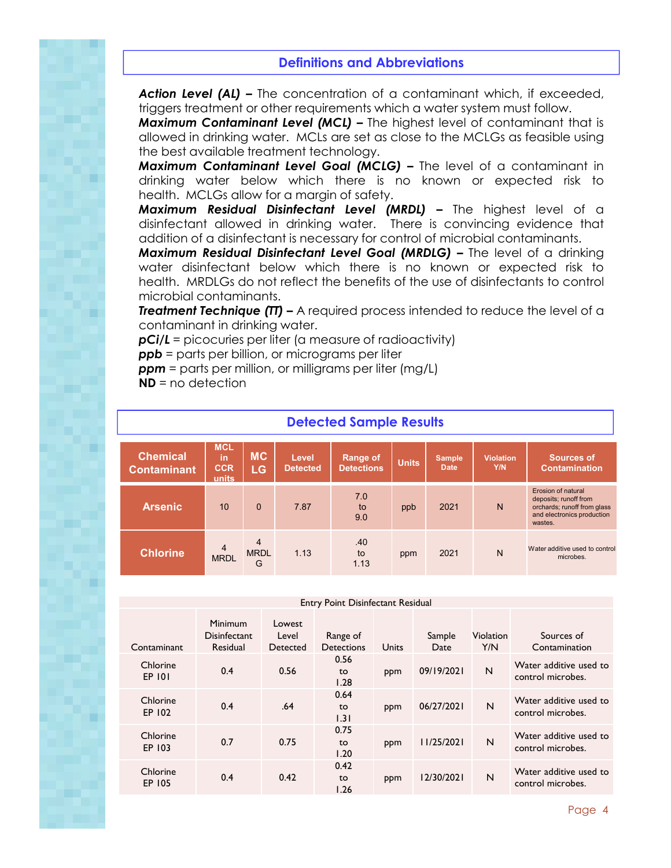### **Definitions and Abbreviations**

*Action Level (AL) –* The concentration of a contaminant which, if exceeded, triggers treatment or other requirements which a water system must follow.

*Maximum Contaminant Level (MCL) –* The highest level of contaminant that is allowed in drinking water. MCLs are set as close to the MCLGs as feasible using the best available treatment technology.

*Maximum Contaminant Level Goal (MCLG) –* The level of a contaminant in drinking water below which there is no known or expected risk to health. MCLGs allow for a margin of safety.

*Maximum Residual Disinfectant Level (MRDL) –* The highest level of a disinfectant allowed in drinking water. There is convincing evidence that addition of a disinfectant is necessary for control of microbial contaminants.

*Maximum Residual Disinfectant Level Goal (MRDLG) –* The level of a drinking water disinfectant below which there is no known or expected risk to health. MRDLGs do not reflect the benefits of the use of disinfectants to control microbial contaminants.

**Treatment Technique (TT) –** A required process intended to reduce the level of a contaminant in drinking water.

*pCi/L =* picocuries per liter (a measure of radioactivity)

*ppb* = parts per billion, or micrograms per liter

*ppm* = parts per million, or milligrams per liter (mg/L)

**ND** = no detection

| <b>Detected Sample Results</b>        |                                                                                                                                                                                       |                       |                         |                                    |     |      |   |                                                                                                                            |  |
|---------------------------------------|---------------------------------------------------------------------------------------------------------------------------------------------------------------------------------------|-----------------------|-------------------------|------------------------------------|-----|------|---|----------------------------------------------------------------------------------------------------------------------------|--|
| <b>Chemical</b><br><b>Contaminant</b> | <b>MCL</b><br><b>MC</b><br><b>Range of</b><br>in<br>Level<br><b>Sample</b><br><b>Units</b><br><b>CCR</b><br><b>Date</b><br><b>Detections</b><br><b>Detected</b><br><b>LG</b><br>units |                       | <b>Violation</b><br>Y/N | Sources of<br><b>Contamination</b> |     |      |   |                                                                                                                            |  |
| <b>Arsenic</b>                        | 10                                                                                                                                                                                    | $\Omega$              | 7.87                    | 7.0<br>to<br>9.0                   | ppb | 2021 | N | <b>Erosion of natural</b><br>deposits; runoff from<br>orchards; runoff from glass<br>and electronics production<br>wastes. |  |
| <b>Chlorine</b>                       | $\overline{4}$<br><b>MRDL</b>                                                                                                                                                         | 4<br><b>MRDL</b><br>G | 1.13                    | .40<br>to<br>1.13                  | ppm | 2021 | N | Water additive used to control<br>microbes.                                                                                |  |

| Entry Point Disinfectant Residual |                                                   |                             |                               |       |                |                         |                                             |  |  |
|-----------------------------------|---------------------------------------------------|-----------------------------|-------------------------------|-------|----------------|-------------------------|---------------------------------------------|--|--|
| Contaminant                       | <b>Minimum</b><br><b>Disinfectant</b><br>Residual | Lowest<br>Level<br>Detected | Range of<br><b>Detections</b> | Units | Sample<br>Date | <b>Violation</b><br>Y/N | Sources of<br>Contamination                 |  |  |
| Chlorine<br>EP 101                | 0.4                                               | 0.56                        | 0.56<br>to<br>1.28            | ppm   | 09/19/2021     | N                       | Water additive used to<br>control microbes. |  |  |
| Chlorine<br>EP 102                | 0.4                                               | .64                         | 0.64<br>to<br>1.31            | ppm   | 06/27/2021     | N                       | Water additive used to<br>control microbes. |  |  |
| Chlorine<br>EP 103                | 0.7                                               | 0.75                        | 0.75<br>to<br>1.20            | ppm   | 11/25/2021     | N                       | Water additive used to<br>control microbes. |  |  |
| Chlorine<br>EP 105                | 0.4                                               | 0.42                        | 0.42<br>to<br>1.26            | ppm   | 12/30/2021     | N                       | Water additive used to<br>control microbes. |  |  |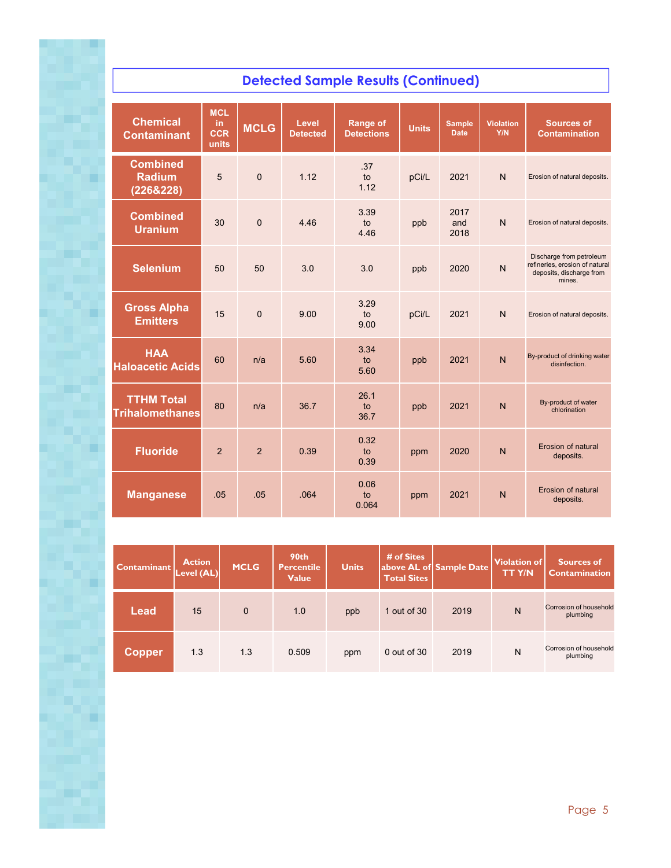## **Detected Sample Results (Continued)**

| <b>Chemical</b><br><b>Contaminant</b>         | <b>MCL</b><br>in<br><b>CCR</b><br>units | <b>MCLG</b>    | Level<br><b>Detected</b> | <b>Range of</b><br><b>Detections</b> | <b>Units</b>                                 | <b>Sample</b><br><b>Date</b> | <b>Violation</b><br>Y/N                                                                          | <b>Sources of</b><br><b>Contamination</b>     |
|-----------------------------------------------|-----------------------------------------|----------------|--------------------------|--------------------------------------|----------------------------------------------|------------------------------|--------------------------------------------------------------------------------------------------|-----------------------------------------------|
| <b>Combined</b><br><b>Radium</b><br>(226&228) | 5                                       | $\overline{0}$ | 1 1 2                    | .37<br>to<br>1.12                    | pCi/L                                        | 2021                         | $\overline{N}$                                                                                   | Erosion of natural deposits.                  |
| <b>Combined</b><br><b>Uranium</b>             | 30                                      | $\overline{0}$ | 446                      | 3.39<br>to<br>4.46                   | 2017<br>$\overline{N}$<br>and<br>ppb<br>2018 |                              | Erosion of natural deposits.                                                                     |                                               |
| <b>Selenium</b>                               | 50                                      | 50             | 3.0                      | 3.0                                  | 2020<br>$\mathsf{N}$<br>ppb                  |                              | Discharge from petroleum<br>refineries, erosion of natural<br>deposits, discharge from<br>mines. |                                               |
| <b>Gross Alpha</b><br><b>Emitters</b>         | 15                                      | $\overline{0}$ | 9.00                     | 3.29<br>to<br>9.00                   | pCi/L                                        | 2021                         | $\mathsf{N}$                                                                                     | Erosion of natural deposits.                  |
| <b>HAA</b><br><b>Haloacetic Acids</b>         | 60                                      | n/a            | 5.60                     | 3.34<br>to<br>5.60                   | ppb                                          | 2021                         | $\overline{N}$                                                                                   | By-product of drinking water<br>disinfection. |
| <b>TTHM Total</b><br><b>Trihalomethanes</b>   | 80                                      | n/a            | 36.7                     | 26.1<br>to<br>36.7                   | ppb                                          | 2021                         | $\mathsf{N}$                                                                                     | By-product of water<br>chlorination           |
| <b>Fluoride</b>                               | $\overline{2}$                          | $\overline{2}$ | 0.39                     | 0.32<br>to<br>0.39                   | ppm                                          | 2020                         | $\mathsf{N}$                                                                                     | Erosion of natural<br>deposits.               |
| <b>Manganese</b>                              | .05                                     | .05            | .064                     | 0.06<br>to<br>0.064                  | ppm                                          | 2021                         | $\mathsf{N}$                                                                                     | Erosion of natural<br>deposits.               |

| <b>Contaminant</b> | <b>Action</b><br>Level (AL) | <b>MCLG</b>  | 90th<br><b>Percentile</b><br><b>Value</b> | <b>Units</b> | # of Sites<br><b>Total Sites</b> | above AL of Sample Date | <b>Violation of</b><br><b>TTY/N</b> | Sources of<br>Contamination        |
|--------------------|-----------------------------|--------------|-------------------------------------------|--------------|----------------------------------|-------------------------|-------------------------------------|------------------------------------|
| Lead               | 15                          | $\mathbf{0}$ | 1.0                                       | ppb          | 1 out of 30                      | 2019                    | N                                   | Corrosion of household<br>plumbing |
| <b>Copper</b>      | 1.3                         | 1.3          | 0.509                                     | ppm          | $0$ out of $30$                  | 2019                    | N                                   | Corrosion of household<br>plumbing |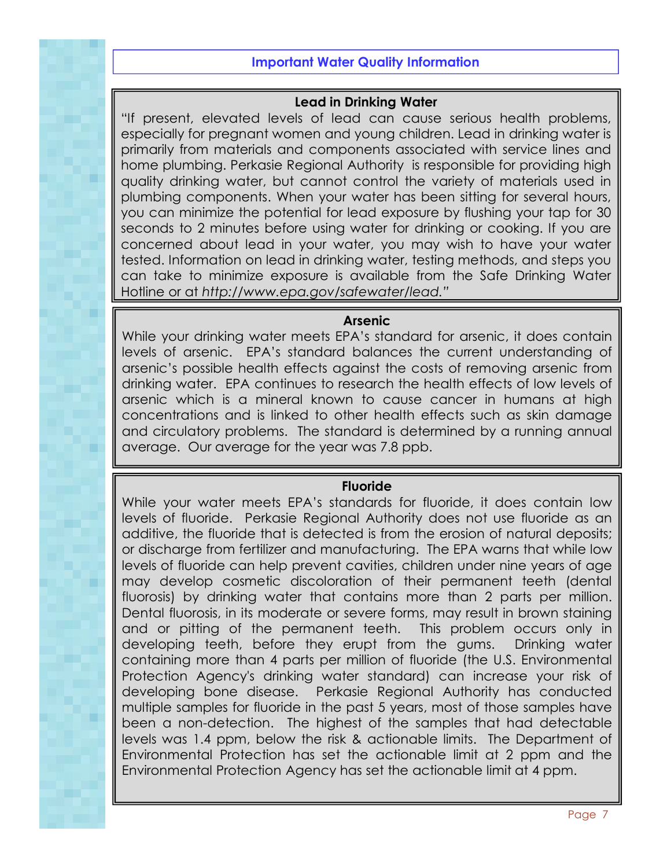### **Important Water Quality Information**

### **Lead in Drinking Water**

"If present, elevated levels of lead can cause serious health problems, especially for pregnant women and young children. Lead in drinking water is primarily from materials and components associated with service lines and home plumbing. Perkasie Regional Authority is responsible for providing high quality drinking water, but cannot control the variety of materials used in plumbing components. When your water has been sitting for several hours, you can minimize the potential for lead exposure by flushing your tap for 30 seconds to 2 minutes before using water for drinking or cooking. If you are concerned about lead in your water, you may wish to have your water tested. Information on lead in drinking water, testing methods, and steps you can take to minimize exposure is available from the Safe Drinking Water Hotline or at *http://www.epa.gov/safewater/lead."*

### **Arsenic**

While your drinking water meets EPA's standard for arsenic, it does contain levels of arsenic. EPA's standard balances the current understanding of arsenic's possible health effects against the costs of removing arsenic from drinking water. EPA continues to research the health effects of low levels of arsenic which is a mineral known to cause cancer in humans at high concentrations and is linked to other health effects such as skin damage and circulatory problems. The standard is determined by a running annual average. Our average for the year was 7.8 ppb.

### **Fluoride**

While your water meets EPA's standards for fluoride, it does contain low levels of fluoride. Perkasie Regional Authority does not use fluoride as an additive, the fluoride that is detected is from the erosion of natural deposits; or discharge from fertilizer and manufacturing. The EPA warns that while low levels of fluoride can help prevent cavities, children under nine years of age may develop cosmetic discoloration of their permanent teeth (dental fluorosis) by drinking water that contains more than 2 parts per million. Dental fluorosis, in its moderate or severe forms, may result in brown staining and or pitting of the permanent teeth. This problem occurs only in developing teeth, before they erupt from the gums. Drinking water containing more than 4 parts per million of fluoride (the U.S. Environmental Protection Agency's drinking water standard) can increase your risk of developing bone disease. Perkasie Regional Authority has conducted multiple samples for fluoride in the past 5 years, most of those samples have been a non-detection. The highest of the samples that had detectable levels was 1.4 ppm, below the risk & actionable limits. The Department of Environmental Protection has set the actionable limit at 2 ppm and the Environmental Protection Agency has set the actionable limit at 4 ppm.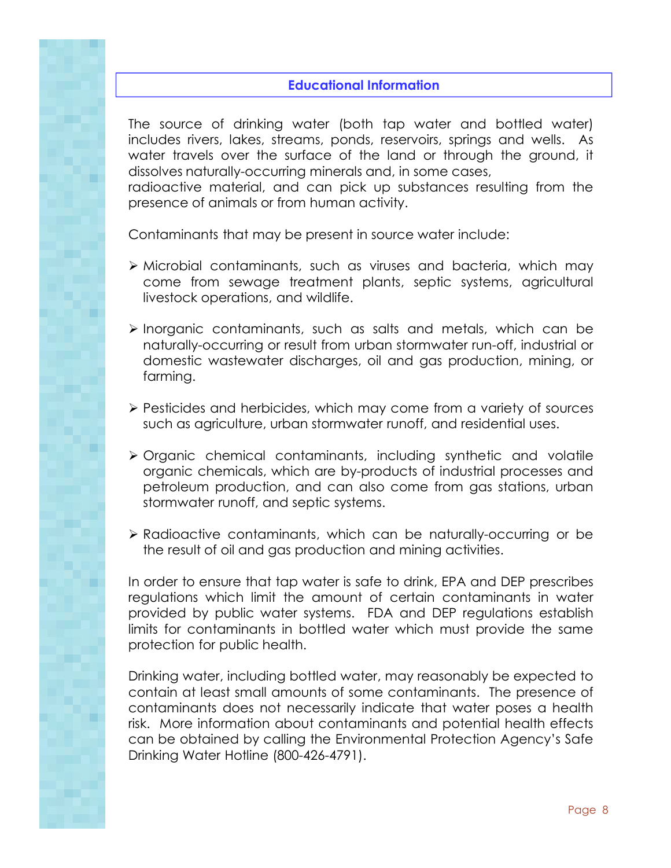### **Educational Information**

The source of drinking water (both tap water and bottled water) includes rivers, lakes, streams, ponds, reservoirs, springs and wells. As water travels over the surface of the land or through the ground, it dissolves naturally-occurring minerals and, in some cases,

radioactive material, and can pick up substances resulting from the presence of animals or from human activity.

Contaminants that may be present in source water include:

- Microbial contaminants, such as viruses and bacteria, which may come from sewage treatment plants, septic systems, agricultural livestock operations, and wildlife.
- $\triangleright$  Inorganic contaminants, such as salts and metals, which can be naturally-occurring or result from urban stormwater run-off, industrial or domestic wastewater discharges, oil and gas production, mining, or farming.
- $\triangleright$  Pesticides and herbicides, which may come from a variety of sources such as agriculture, urban stormwater runoff, and residential uses.
- Organic chemical contaminants, including synthetic and volatile organic chemicals, which are by-products of industrial processes and petroleum production, and can also come from gas stations, urban stormwater runoff, and septic systems.
- Radioactive contaminants, which can be naturally-occurring or be the result of oil and gas production and mining activities.

In order to ensure that tap water is safe to drink, EPA and DEP prescribes regulations which limit the amount of certain contaminants in water provided by public water systems. FDA and DEP regulations establish limits for contaminants in bottled water which must provide the same protection for public health.

Drinking water, including bottled water, may reasonably be expected to contain at least small amounts of some contaminants. The presence of contaminants does not necessarily indicate that water poses a health risk. More information about contaminants and potential health effects can be obtained by calling the Environmental Protection Agency's Safe Drinking Water Hotline (800-426-4791).